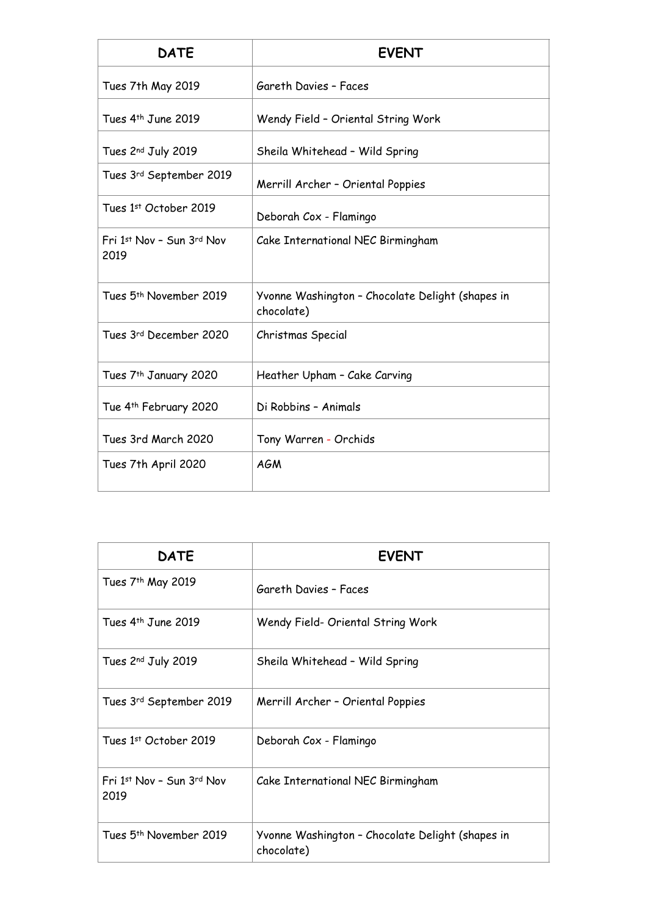| <b>DATE</b>                        | <b>EVENT</b>                                                   |  |
|------------------------------------|----------------------------------------------------------------|--|
| Tues 7th May 2019                  | Gareth Davies - Faces                                          |  |
| Tues 4 <sup>th</sup> June 2019     | Wendy Field - Oriental String Work                             |  |
| Tues 2nd July 2019                 | Sheila Whitehead - Wild Spring                                 |  |
| Tues 3rd September 2019            | Merrill Archer - Oriental Poppies                              |  |
| Tues 1st October 2019              | Deborah Cox - Flamingo                                         |  |
| Fri 1st Nov - Sun 3rd Nov<br>2019  | Cake International NEC Birmingham                              |  |
| Tues 5 <sup>th</sup> November 2019 | Yvonne Washington - Chocolate Delight (shapes in<br>chocolate) |  |
| Tues 3rd December 2020             | Christmas Special                                              |  |
| Tues 7 <sup>th</sup> January 2020  | Heather Upham - Cake Carving                                   |  |
| Tue 4th February 2020              | Di Robbins - Animals                                           |  |
| Tues 3rd March 2020                | Tony Warren - Orchids                                          |  |
| Tues 7th April 2020                | <b>AGM</b>                                                     |  |

| <b>DATE</b>                       | <b>EVENT</b>                                                   |
|-----------------------------------|----------------------------------------------------------------|
| Tues 7 <sup>th</sup> May 2019     | Gareth Davies - Faces                                          |
| Tues 4 <sup>th</sup> June 2019    | Wendy Field- Oriental String Work                              |
| Tues 2nd July 2019                | Sheila Whitehead - Wild Spring                                 |
| Tues 3rd September 2019           | Merrill Archer - Oriental Poppies                              |
| Tues 1st October 2019             | Deborah Cox - Flamingo                                         |
| Fri 1st Nov - Sun 3rd Nov<br>2019 | Cake International NEC Birmingham                              |
| Tues 5th November 2019            | Yvonne Washington - Chocolate Delight (shapes in<br>chocolate) |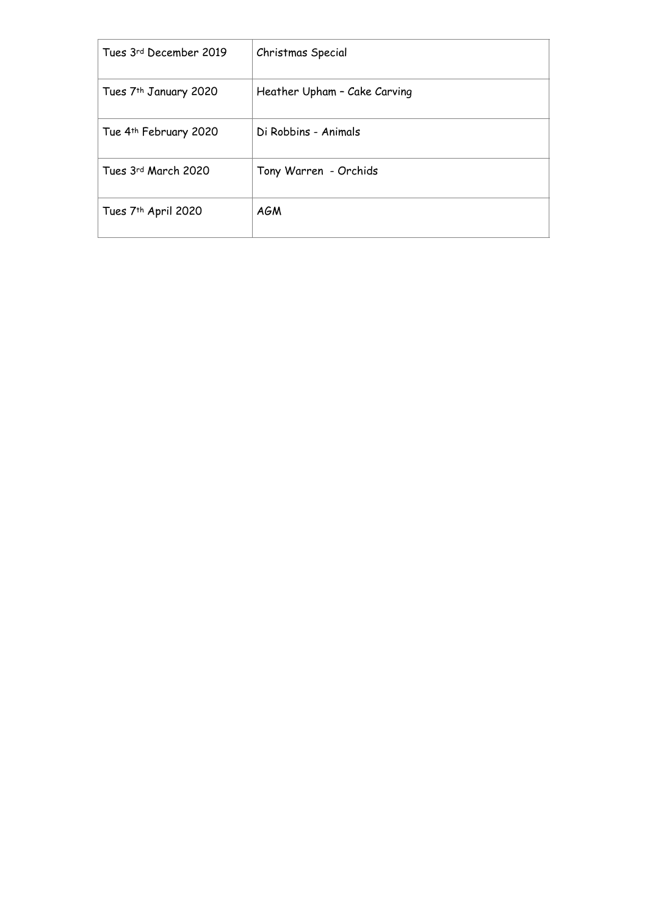| Tues 3rd December 2019            | Christmas Special            |
|-----------------------------------|------------------------------|
| Tues 7 <sup>th</sup> January 2020 | Heather Upham - Cake Carving |
| Tue 4th February 2020             | Di Robbins - Animals         |
| Tues 3rd March 2020               | Tony Warren - Orchids        |
| Tues 7 <sup>th</sup> April 2020   | AGM                          |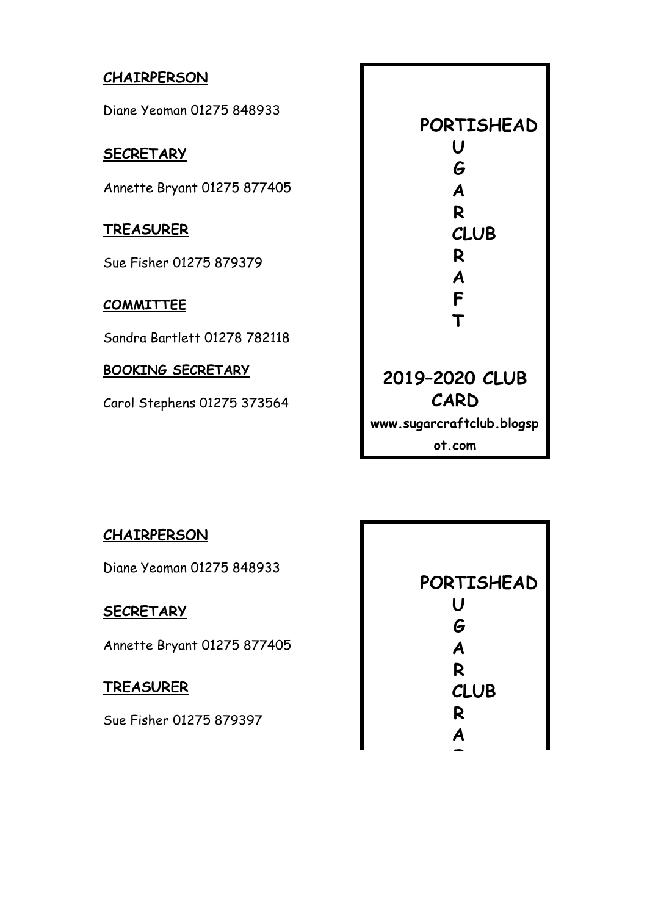## **CHAIRPERSON**

Diane Yeoman 01275 848933

## **SECRETARY**

Annette Bryant 01275 877405

#### **TREASURER**

Sue Fisher 01275 879379

## **COMMITTEE**

Sandra Bartlett 01278 782118

#### **BOOKING SECRETARY**

Carol Stephens 01275 373564

| PORTISHEAD                |  |  |
|---------------------------|--|--|
| U                         |  |  |
| G                         |  |  |
| A                         |  |  |
| R                         |  |  |
| <b>CLUB</b>               |  |  |
| R                         |  |  |
| A                         |  |  |
| F                         |  |  |
| $\mathsf T$               |  |  |
|                           |  |  |
|                           |  |  |
| 2019-2020 CLUB            |  |  |
| CARD                      |  |  |
| www.sugarcraftclub.blogsp |  |  |
| ot.com                    |  |  |

#### **CHAIRPERSON**

Diane Yeoman 01275 848933

#### **SECRETARY**

Annette Bryant 01275 877405

# **TREASURER**

Sue Fisher 01275 879397

 **PORTISHEAD U G A R CLUB R A** 

 **F**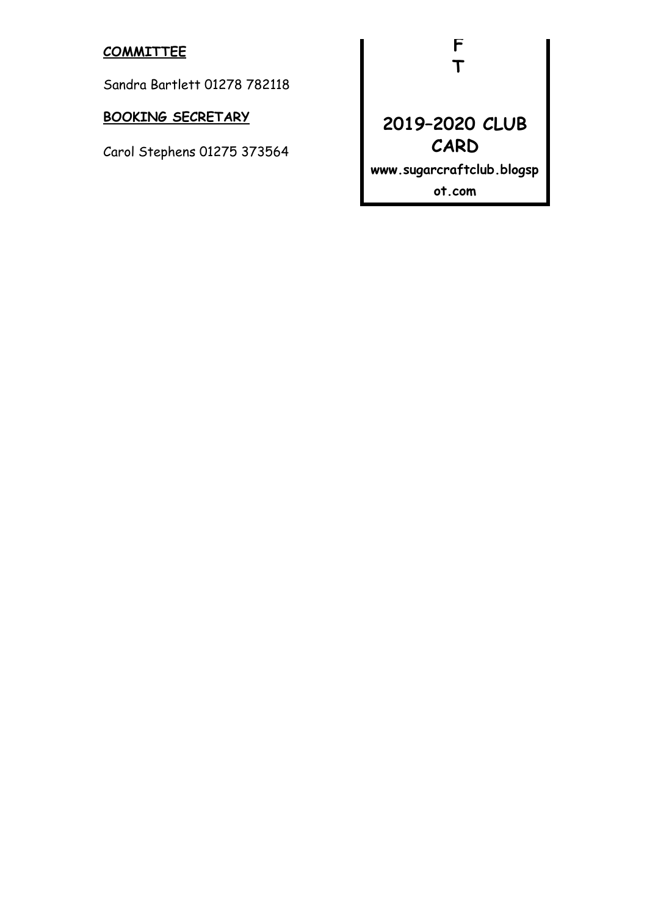#### **COMMITTEE**

Sandra Bartlett 01278 782118

# **BOOKING SECRETARY**

Carol Stephens 01275 373564

 **F T** 

# **2019–2020 CLUB CARD**

**www.sugarcraftclub.blogsp**

**ot.com**